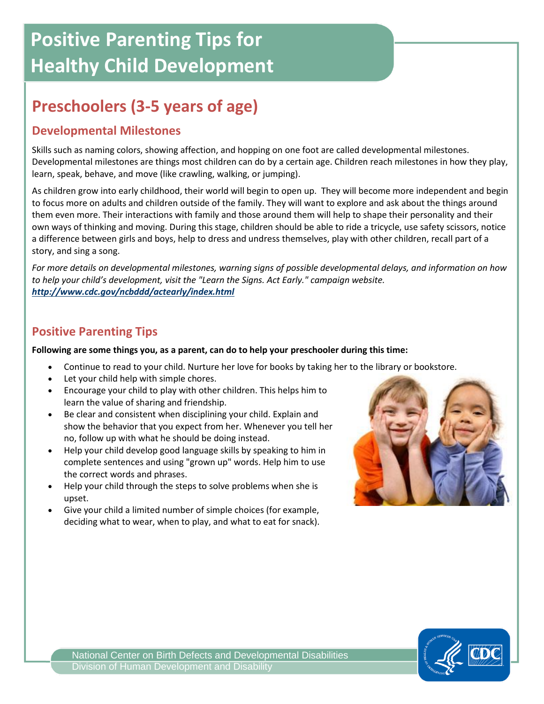# **Positive Parenting Tips for Healthy Child Development**

## **Preschoolers (3-5 years of age)**

#### **Developmental Milestones**

Skills such as naming colors, showing affection, and hopping on one foot are called developmental milestones. Developmental milestones are things most children can do by a certain age. Children reach milestones in how they play, learn, speak, behave, and move (like crawling, walking, or jumping).

As children grow into early childhood, their world will begin to open up. They will become more independent and begin to focus more on adults and children outside of the family. They will want to explore and ask about the things around them even more. Their interactions with family and those around them will help to shape their personality and their own ways of thinking and moving. During this stage, children should be able to ride a tricycle, use safety scissors, notice a difference between girls and boys, help to dress and undress themselves, play with other children, recall part of a story, and sing a song.

*For more details on developmental milestones, warning signs of possible developmental delays, and information on how to help your child's development, visit the "Learn the Signs. Act Early." campaign website. <http://www.cdc.gov/ncbddd/actearly/index.html>*

#### **Positive Parenting Tips**

#### **Following are some things you, as a parent, can do to help your preschooler during this time:**

- Continue to read to your child. Nurture her love for books by taking her to the library or bookstore.
- Let your child help with simple chores.
- Encourage your child to play with other children. This helps him to learn the value of sharing and friendship.
- Be clear and consistent when disciplining your child. Explain and show the behavior that you expect from her. Whenever you tell her no, follow up with what he should be doing instead.
- Help your child develop good language skills by speaking to him in complete sentences and using "grown up" words. Help him to use the correct words and phrases.
- Help your child through the steps to solve problems when she is upset.
- Give your child a limited number of simple choices (for example, deciding what to wear, when to play, and what to eat for snack).